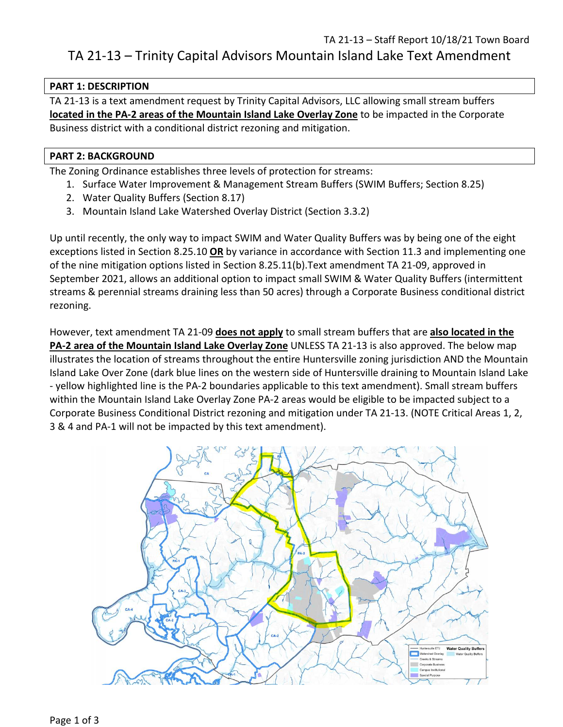# TA 21-13 – Staff Report 10/18/21 Town Board TA 21-13 – Trinity Capital Advisors Mountain Island Lake Text Amendment

## **PART 1: DESCRIPTION**

TA 21-13 is a text amendment request by Trinity Capital Advisors, LLC allowing small stream buffers **located in the PA-2 areas of the Mountain Island Lake Overlay Zone** to be impacted in the Corporate Business district with a conditional district rezoning and mitigation.

### **PART 2: BACKGROUND**

The Zoning Ordinance establishes three levels of protection for streams:

- 1. Surface Water Improvement & Management Stream Buffers (SWIM Buffers; Section 8.25)
- 2. Water Quality Buffers (Section 8.17)
- 3. Mountain Island Lake Watershed Overlay District (Section 3.3.2)

Up until recently, the only way to impact SWIM and Water Quality Buffers was by being one of the eight exceptions listed in Section 8.25.10 **OR** by variance in accordance with Section 11.3 and implementing one of the nine mitigation options listed in Section 8.25.11(b).Text amendment TA 21-09, approved in September 2021, allows an additional option to impact small SWIM & Water Quality Buffers (intermittent streams & perennial streams draining less than 50 acres) through a Corporate Business conditional district rezoning.

However, text amendment TA 21-09 **does not apply** to small stream buffers that are **also located in the PA-2 area of the Mountain Island Lake Overlay Zone** UNLESS TA 21-13 is also approved. The below map illustrates the location of streams throughout the entire Huntersville zoning jurisdiction AND the Mountain Island Lake Over Zone (dark blue lines on the western side of Huntersville draining to Mountain Island Lake - yellow highlighted line is the PA-2 boundaries applicable to this text amendment). Small stream buffers within the Mountain Island Lake Overlay Zone PA-2 areas would be eligible to be impacted subject to a Corporate Business Conditional District rezoning and mitigation under TA 21-13. (NOTE Critical Areas 1, 2, 3 & 4 and PA-1 will not be impacted by this text amendment).

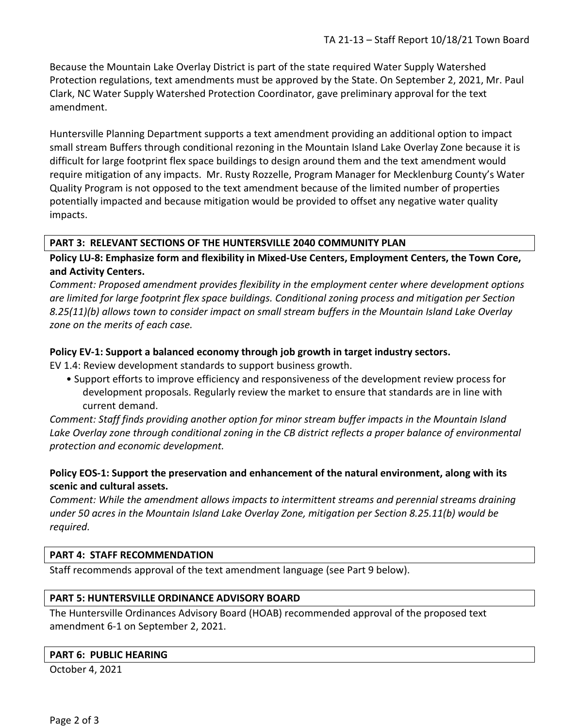Because the Mountain Lake Overlay District is part of the state required Water Supply Watershed Protection regulations, text amendments must be approved by the State. On September 2, 2021, Mr. Paul Clark, NC Water Supply Watershed Protection Coordinator, gave preliminary approval for the text amendment.

Huntersville Planning Department supports a text amendment providing an additional option to impact small stream Buffers through conditional rezoning in the Mountain Island Lake Overlay Zone because it is difficult for large footprint flex space buildings to design around them and the text amendment would require mitigation of any impacts. Mr. Rusty Rozzelle, Program Manager for Mecklenburg County's Water Quality Program is not opposed to the text amendment because of the limited number of properties potentially impacted and because mitigation would be provided to offset any negative water quality impacts.

## **PART 3: RELEVANT SECTIONS OF THE HUNTERSVILLE 2040 COMMUNITY PLAN**

**Policy LU-8: Emphasize form and flexibility in Mixed-Use Centers, Employment Centers, the Town Core, and Activity Centers.** 

*Comment: Proposed amendment provides flexibility in the employment center where development options are limited for large footprint flex space buildings. Conditional zoning process and mitigation per Section 8.25(11)(b) allows town to consider impact on small stream buffers in the Mountain Island Lake Overlay zone on the merits of each case.*

#### **Policy EV-1: Support a balanced economy through job growth in target industry sectors.**

EV 1.4: Review development standards to support business growth.

• Support efforts to improve efficiency and responsiveness of the development review process for development proposals. Regularly review the market to ensure that standards are in line with current demand.

*Comment: Staff finds providing another option for minor stream buffer impacts in the Mountain Island Lake Overlay zone through conditional zoning in the CB district reflects a proper balance of environmental protection and economic development.*

## **Policy EOS-1: Support the preservation and enhancement of the natural environment, along with its scenic and cultural assets.**

*Comment: While the amendment allows impacts to intermittent streams and perennial streams draining under 50 acres in the Mountain Island Lake Overlay Zone, mitigation per Section 8.25.11(b) would be required.*

#### **PART 4: STAFF RECOMMENDATION**

Staff recommends approval of the text amendment language (see Part 9 below).

#### **PART 5: HUNTERSVILLE ORDINANCE ADVISORY BOARD**

The Huntersville Ordinances Advisory Board (HOAB) recommended approval of the proposed text amendment 6-1 on September 2, 2021.

#### **PART 6: PUBLIC HEARING**

October 4, 2021